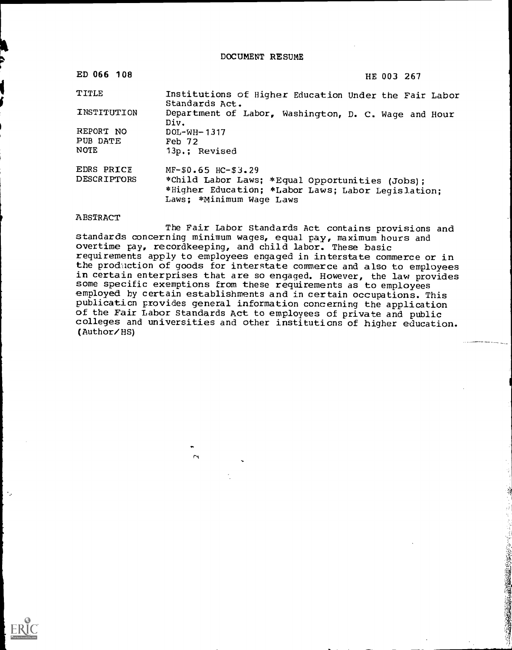DOCUMENT RE SUME

| ED 066 108  | HE 003 267                                                                                                                        |
|-------------|-----------------------------------------------------------------------------------------------------------------------------------|
| TITLE       | Institutions of Higher Education Under the Fair Labor<br>Standards Act.                                                           |
| INSTITUTION | Department of Labor, Washington, D. C. Wage and Hour<br>Div.                                                                      |
| REPORT NO   | $DOL-WH-1317$                                                                                                                     |
| PUB DATE    | Feb 72                                                                                                                            |
| <b>NOTE</b> | 13p.: Revised                                                                                                                     |
| EDRS PRICE  | $MF-50.65$ $HC-53.29$                                                                                                             |
| DESCRIPTORS | *Child Labor Laws; *Equal Opportunities (Jobs);<br>*Higher Education; *Labor Laws; Labor Legislation;<br>Laws; *Minimum Waqe Laws |

# ABSTRACT

The Fair Labor Standards Act contains provisions and standards concerning minimum wages, equal pay, maximum hours and overtime pay, recordkeeping, and child labor. These basic requirements apply to employees engaged in interstate commerce or in the prodiction of goods for interstate commerce and also to employees in certain enterprises that are so engaged. However, the law provides some specific exemptions from these requirements as to employees employed by certain establishments and in certain occupations. This publication provides general information concerning the application of the Fair Labor Standards Act to employees of private and public colleges and universities and other institutions of higher education. (Author/HS)

**大学的 地名美国博士 医学院 医学院 医学院 医生物的 医心理学的 医心理学的 医心理学的 医心理学的 医心理学的 医心理学的 医心理学的 医心理学的 医心理学的 医心理学的 医心理学的 医心理学的 医心理学的 医心理学的 医心理学的 医心理学的 医心理学的 医心理学的 医心理学的 医心理学的 医心理学的** 

rn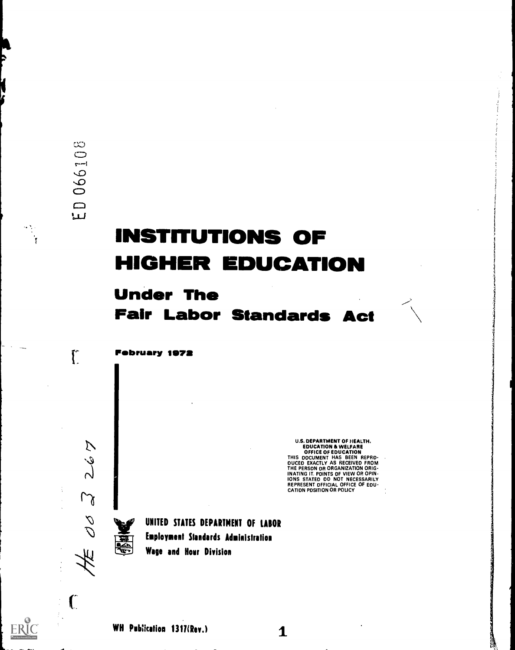$\int_{0}^{\infty}$ 

 $\infty$ 

# **INSTITUTIONS OF** HIGHER EDUCATION

# Under The Fair Labor Standards Act

February 1972

U.S. DEPARTMENT OF HEALTH.<br>
EDUCATION & WELFARE<br>
OFFICE OF EDUCATION<br>
THIS DOCUMENT HAS BEEN REPROM<br>
DUCED EXACTLY AS RECEIVED FROM<br>
THE PERSON OR ORGANIZATION ORIG-<br>
INATING IT. POINTS OF VIEW OR OPIN-<br>
IONS STATED DO NOT

 $\mathbf 1$ 

零

 $M$ 

S<br>C

 $\mathbf C$ 

UNITED STATES DEPARTMENT OF LABOR Employment Standards Administration Wage and Hour Division

WH Publication 1317(Rev.)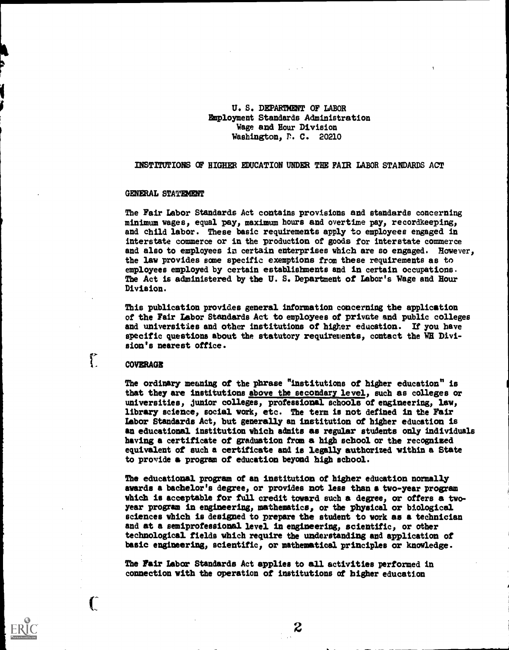# U. S. DEPARTMENT OF LABOR Dnployment Standards Administration Wage and Hour Division Washington, P. C. 20210

INSTITUTIONS OF HIGHER EDUCATION UNDER THE FAIR LABOR STANDARDS ACT

# GENERAL STATEMENT

The Fair Labor Standards Act contains provisions and standards concerning minimum wages, equal pay, maximum hours and overtime pay, recordkeeping, and child labor. These basic requirements apply to employees engaged in interstate commerce or in the production of goods for interstate commerce and also to employees in certain enterprises which are so engaged. However, the law provides some specific exemptions from these requirements as to employees employed by certain establishments and in certain occupations. The Act is administered by the U. S. Department of Labor's Wage and Hour Division.

This publication provides general information concerning the application of the Fair labor Standards Act to employees of private end public colleges and universities and other institutions of higher education. If you have specific questions about the statutory requirements, contact the WH Division's nearest office.

#### COVERAGE

 $\int_{0}^{\infty}$ 

 $\mathbf{C}$ 

The ordinary meaning of the phrase "institutions of higher education" is that they are institutions above the secondary level, such as colleges or universities, junior colleges, professional schools of engineering, law, library science, social work, etc. The term is not defined in the Fair Labor Standards Act, but generally an institution of higher education is an educational institution which admits as regular students only individuals having a certificate of graduation from a high school or the recognised equivalent of such a certificate and is legally authorized within a State to provide a program of education beyond high school.

The educational program of an institution of higher education normally awards a bachelor's degree, or provides not less than a two-year program which is acceptable for full credit toward such a degree, or offers a twoyear program in engineering, mathematics, or the physical or biological sciences which is designed to prepare the student to vork as a technician and at a semiprofessional level in engineering, scientific, or other technological fields which require the understanding and application of basic engineering, scientific, or mathematical principles or knowledge.

The Fair Labor Standards Act applies to all activities performed in connection with the operation of institutions of higher education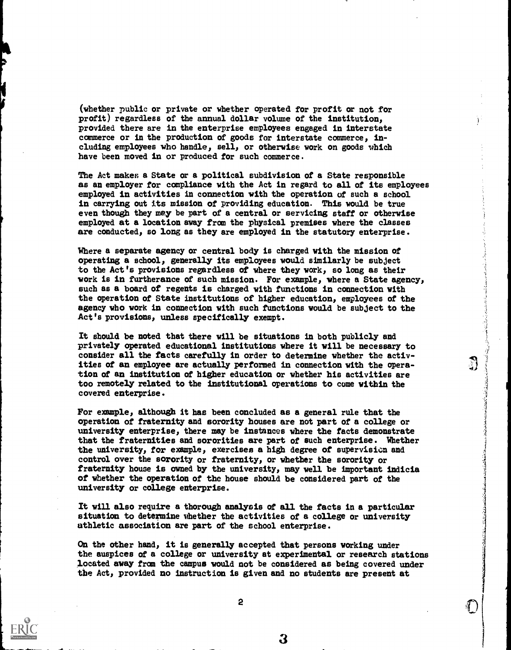(whether public or private or whether operated for profit or not for profit) regardless of the annual dollar volume of the institution, provided there are in the enterprise employees engaged in interstate commerce or in the production of goods for interstate commerce, including employees who handle, sell, or otherwise work on goods vhich have been moved in or produced for such commerce.

The Act makes a State or a political subdivision of a State responsible as an employer for compliance with the Act in regard to all of its employees employed in activities in connection with the operation of such a school in carrying out its mission of providing education. This would be true even though they may be part of a central or servicing staff or otherwise employed at a location away from the physical premises where the classes axe conducted, so long as they are employed in the statutory enterprise.

 $\mathcal{E}$ 

J

سوريت بنيت

Where a separate agency or central body is charged with the mission of operating a school, generally its employees would similarly be subject to the Act's provisions regardless of where they work, so long as their work is in furtherance of such mission. For example, where a State agency, such as a board of regents is charged with functions in connection with the operation of State institutions of higher education, employees of the agency who work in connection with such functions would be subject to the Act's provisions, unless specifically exempt.

It should be noted that there will be situations in both publicly and privately operated educational institutions where it will be necessary to consider all the facts carefully in order to determine whether the activities of an employee are actually performed in connection with the operation of an institution of higher education or whether his activities are too rmmotely related to the institutional operations to come within the covered enterprise.

For exmrple, although it has been concluded as a general rule that the operation of fraternity and sorority houses are not part of a college or university enterprise, there may be instances where the facts demonstrate that the fraternities and sororities are part of such enterprise. Whether the university, for example, exercises a high degree of supervision and control over the sorority or fraternity, or whether the sorority or fraternity house is owned by the university, may well be important indicia of whether the operation of the house should be considered part of the university or college enterprise.

It will also require a thorough analysis of all the facts in a particular situation to determine mhether the activities of a college or university athletic association are part of the school enterprise.

On the other hand, it is generally accepted that persons working under the auspices of a college or university at experimental or research stations located away from the campus would not be considered as being covered under the Act, provided no instruction is given and no students are present at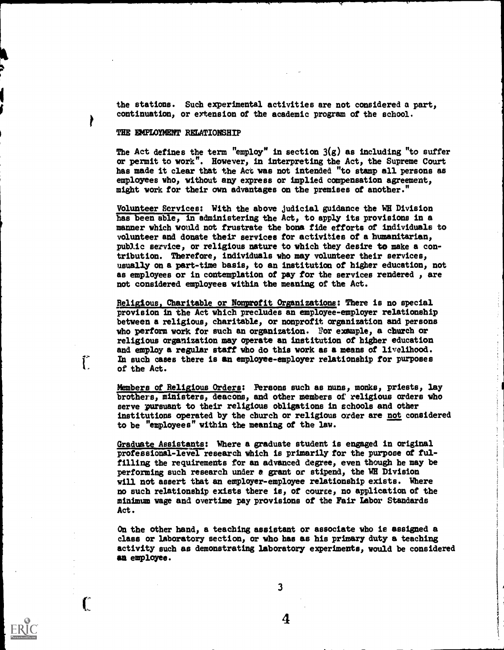the stations. Such experimental activities are not considered a part, continuation, or extension of the academic program of the school.

# THE EMPLOYMENT RELATIONSHIP

 $\int_{0}^{\infty}$ 

 $\Gamma$ 

The Act defines the term "employ" in section 3(g) as including "to suffer or permit to work". However, in interpreting the Act, the Supreme Court has made it clear that the Act was not intended "to stamp all persons as employees who, without any express or implied compensation agreement, might work for their own advantages on the premises of another."

Volunteer Rervices: With the above judicial guidance the WE Division has been able, in administering the Act, to apply its provisions in a manner which would not frustrate the bona fide efforts of individuals to volunteer and donate their services for activities of a humanitarian, public service, or religious nature to which they desire to make a contribution. Therefore, individuals who may volunteer their services, usually on a part-time basis, to an institution of higher education, not as employees or in contemplation of pay for the services rendered , are not considered employees within the meaning of the Act.

> $\frac{1}{2}$  and  $\frac{1}{2}$  and  $\frac{1}{2}$  $\frac{1}{2}$

医心包 医牙骨关节 医大

 $\frac{1}{2}$ 

 $\label{eq:2.1} \begin{aligned} \mathcal{L}_{\mathcal{A}}(\mathcal{A}) & = \mathcal{L}_{\mathcal{A}}(\mathcal{A}) + \mathcal{L}_{\mathcal{A}}(\mathcal{A}) + \mathcal{L}_{\mathcal{A}}(\mathcal{A}) + \mathcal{L}_{\mathcal{A}}(\mathcal{A}) + \mathcal{L}_{\mathcal{A}}(\mathcal{A}) + \mathcal{L}_{\mathcal{A}}(\mathcal{A}) + \mathcal{L}_{\mathcal{A}}(\mathcal{A}) + \mathcal{L}_{\mathcal{A}}(\mathcal{A}) + \mathcal{L}_{\mathcal{A}}(\mathcal{A}) + \mathcal{L}_{\mathcal{A}}(\mathcal$ 

Religious, Charitable or Nonprofit Organizations: There is no special provision in the Act which precludes an employee-employer relationship between a religious, charitable, or nonprofit organization and persons who perform work for such an organization. For example, a church or religious organization may operate an institution of higher education and employ a regular staff who do this work as a means of livelihood. In such cases there is an employee-employer relationship for purposes of the Act.

Members of Religious Orders: Persons such as nuns, monks, priests, lay brothers, ministers, deacons, and other members of religious orders who serve pursuant to their religious obligations in schools and other institutions operated by the church or religious order are not considered to be "employees" within the meaning of the law.

Graduate Assistants: Where a graduate student is engaged in original professional-level research whidh is primarily for the purpose of fulfilling the requirements for an advanced degree, even though he may be performing such research under a grant or stipend, the WH Division will not assert that an employer-employee relationship exists. Where no such relationship exists there is, of cource, no application of the minimum wage and overtime pay provisions of the Fair Labor Standards Act.

On the other hand, a teaching assistant or associate who is assigned a class or laboratory section, or who has as his primary duty a teadhing activity sudh as demonstrating laboratory experiments, would be considered an employee.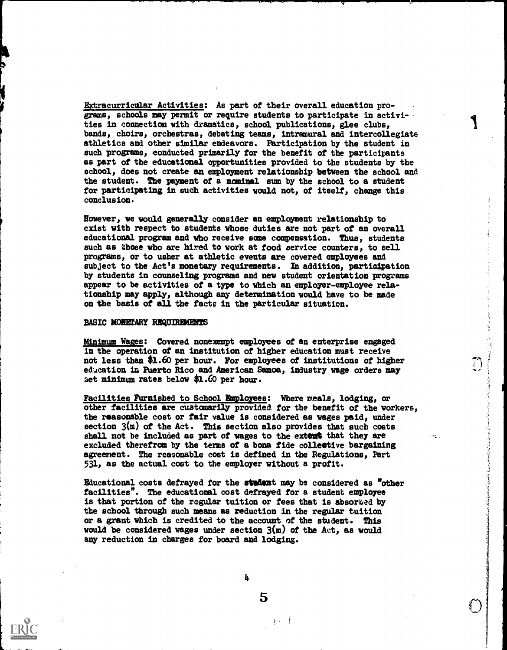Extracurricular Activities: As part of their overall education programs, schools may permit or require students to participate in activities in connection with dramatics, school publications, glee clubs, bands, choirs, orchestras, debating teams, intramural and intercollegiate athletics and other similar endeavors. Participation by the student in such programs, conducted primarily for the benefit of the participants as part of the educational opportunities provided to the students by the school, does not create an employment relationship between the school and the student. The payment of a nominal sum by the school to a student for participating in such activities would not, of itself, change this conclusion.

However, ve would generally consider an employment relationship to exist with respect to students whose duties are not part of an overall educational program and vho receive same compensation. Thus, students such as those who are hired to vork at food service counters, to sell programs, or to usher at athletic events are covered employees and subject to the Act's monetary requirements. In addition, participation by students in counseling programs and new student orientation programs appear to be activities of a type to which an employer-employee relationship may apply, although any determination vould have to be made on the basis of all the facto in the particular situation.

# **BASIC MONETARY REQUIREMENTS**

Minimum Wagee: Covered nonexempt employees of an enterprise engaged in the operation of an institution of higher education must receive not less than \$1.60 per hour. For employees of institutions of higher education in Puerto Rico and American Samoa, industry wage orders may set minimum rates below  $$1.60$  per hour.

.Facilities Furnished to School Employees: Where meals, lodging, or other facilities are customarily provided for the benefit of the workers, the reasonable cost or fair value is considered as vages paid, under section  $3(m)$  of the Act. This section also provides that such costs shall not be included as part of wages to the extent that they are excluded therefram by the terms of a bona fide colleetive bargaining agreement. The reasonable cost is defined in the Regulations, Part 531, as the actual cost to the employer vithout a profit.

Educational costs defrayed for the student may be considered as "other facilities". Tbe educational cost defrayed for a student employee is that portion of the regular tuition or fees that is absorbed by the school through such means as reduction in the regular tuition or a grant which is credited to the account of the student. This would be considered wages under section  $3(m)$  of the Act, as would any reduction in charges for board and lodging.

5

 $\frac{1}{2}$   $\frac{1}{2}$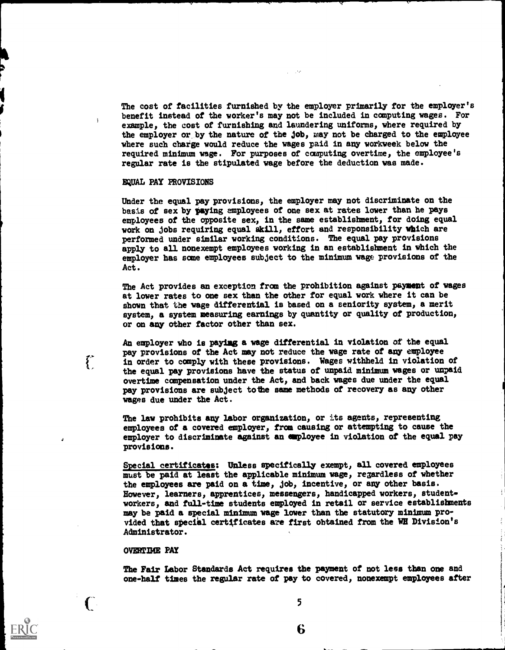The cost of facilities furnished by the employer primarily for the employer's benefit instead of the worker's may not be included in computing wages. For example, the cost of furnishing and laundering uniforms, where required by the employer or by the nature of the job, may not be charged to the employee 'where such charge would reduce the wages paid in any workweek below the required minimum wage. For purposes of computing overtime, the employee's regular rate is the stipulated vage before the deduction vas made.

# EQUAL FAY PROVISIONS

Under the equal pay provisions, the employer may not discriminate on the basis of sex by paying employees of one sex at rates lower than he pays employees of the opposite sex, in the same establishment, for doing equal work on jobs requiring equal akill, effort and responsibility which are performed under similar working conditions. The equal pay provisions applY to all nonexempt employees working in an establishment in vhich the employer has some employees subject to the minimum vase provisions of the Act.

The Act provides an exception from the prohibition against payment of wages at lower rates to one sex than the other for equal work where it can be shown that the vage differential is based on a seniority system, a merit system, a system measuring earnings by quantity or quality of production, or on any other factor other than sex.

An employer who is paying a wage differential in violation of the equal pay provisions of the Act may not reduce the wage rate of any employee in order to comply with these provisions. Wages withheld in violation of the equal pay provisions have the status of unpaid minimum vages or unpaid overtime compensation under the Act, and back wages due under the equal pay provisions are subject tothe same methods of recovery as any other wages due under the Act.

The law prohibits any labor organization, or its agents, representing employees of a covered employer, from causing or attempting to cause the employer to discriminate against an employee in violation of the equal pay provisions.

Special certificates: Unless specifically exempt, all covered employees must be paid at least the applicable minimum wage, regardless of whether the employees are paid on a time, job, incentive, or any other basis. However, learners, apprentices, messengers, handicapped workers, studentworkers, and full-time students employed in retail or service establishments may be paid a special minimum vage lover than the statutory minimum provided that special certificates are first obtained from the WE Division's Administrator.

## OVERTIME PAY

 $\int_0^{\infty}$ 

 $\overline{C}$ 

The Fair Labor Standards Act requires the payment of not less than one and one-half times the regular rate of pay to covered, nonexempt employees after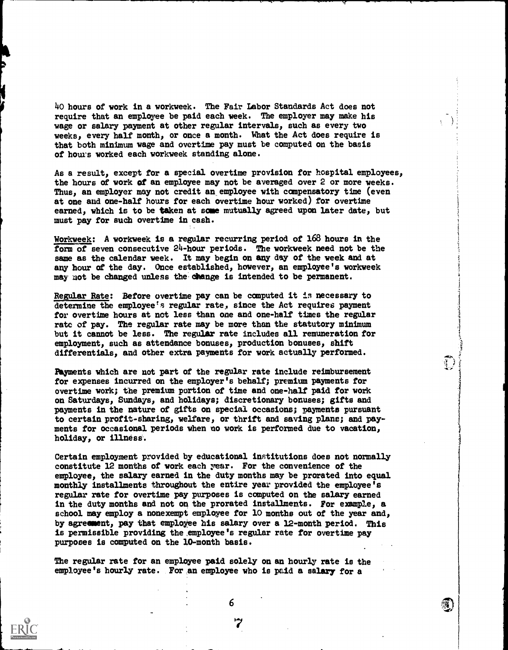40 hours of work in a workweek. The Fair Labor Standards Act does not require that an employee be paid each week. The employer may make his wage or salary payment at other regular intervals, such as every two weeks, every half month, or once a month. What the Act does require is that both minimum wage and overtime pay must be computed on the basis of hours worked each workweek standing alone.

As a result, except for a special overtime provision for hospital employees, the hours of work of an employee may not be averaged over 2 or more weeks. Thus, an employer may not credit an employee with compensatory time (even at one and one-half hours for each overtime hour worked) for overtime earned, which is to be taken at some mutually agreed upon later date, but must pay for sudh overtime in cash.

Workweek: A workweek is a regular recurring period of 168 hours in the form of seven consecutive 24-hour periods. The workweek need not be the same as the calendar week. It may begin on any day of the week and at any hour of the day. Once established, however, an employee's workweek may not be changed unless the change is intended to be permanent.

Regular Rate: Before overtime pay can be computed it is necessary to determine the employee's regular rate, since the Act requires payment for overtime hours at not less than one and one-half times the regular rate of pay. The regular rate may be more than the statutory minimum but it cannot be less. The regular rate includes all remuneration for employment, such as attendance bonuses, production bonuses, shift differentials, and other extra payments for work actually performed.

Payments which are not part of the regular rate include reimbursement for expenses incurred on the employer's behalf; premium payments for overtime work; the premium portion of time and one-half paid for work on Saturdays, Sundays, and holidays; discretionary bonuses; gifts and payments in the nature of gifts on special occasions; payments pursuant to certain profit-sharing, welfare, or thrift and saving plane; and payments for occasional periods when no work is performed due to vacation, holiday, or illness.

 $\mathbb{C}$ 

濁

Certain employment provided by educational institutions does not normally constitute 12 months of work each rear. For the convenience of the employee, the salary earned in the duty months may be prorated into equal monthly installments throughout the entire year provided the employee's regular rate for overtime pay purposes is computed on the salary earned in the duty months and not on the prorated installments. For example, a school may employ a nonexempt employee for 10 months out of the year and, by agreement, pay that employee his salary over a 12-month period. This is permissible providing the employee's regular rate for overtime pay purposes is computed on the 10-month basis.

The regular rate for an employee paid solely on an hourly rate is the employee's hourly rate. For an employee who is paid a salary for a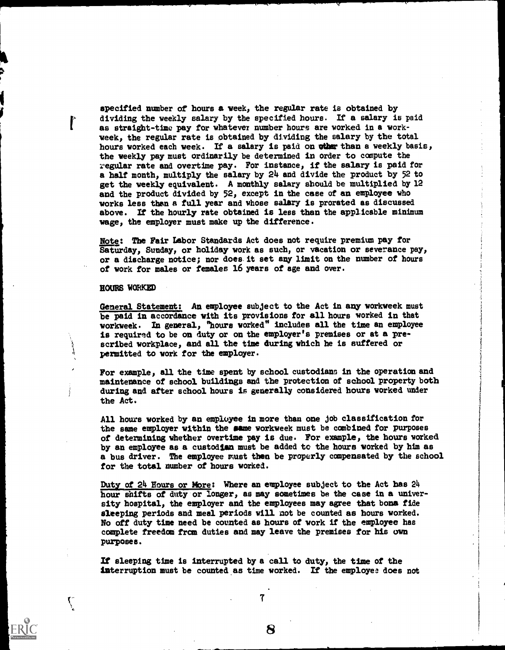specified number of hours a week, the regular rate is obtained by dividing the weekly salary by the specified hours. If a salary is paid as straight-time pay for whatever number hours are worked in a workveek, the regular rate is obtained by dividing the salary by the total hours worked each week. If a salary is paid on other than a weekly basis, the weekly pay must ordinarily be determined in order to compute the regular rate and overtime pay. For instance, if the salary is paid for a half month, multiply the salary by 24 and divide the product by 52 to get the weekly equivalent. A monthly salary should be multiplied by 12 and the product divided by 52, except in the case of an employee who works less them a full year and whose salary is prorated as discussed above. If the hourly rate obtained is less than the applicable minimum wage, the employer must make up the difference.

Note: The Fair Labor Standards Act does not require premium pay for Saturday, Sunday, or holiday work as such, or vacation or severance pay, or a discharge notice; nor does.it set any limit on the number of hours of work for males or females 16 years of age and over.

HOURS HARKED

 $\mathbf{C}$ 

General Statement: An employee subject to the Act in any workweek must be paid in accordance with its provisions for all hours worked in that workweek. In general, "hours worked" includes all the time an employee is required to be on duty or on the employer's premises or at a prescribed workplace, and all the time during which he is suffered or permitted to work for the employer.

For example, all the time spent by school custodians in the operation and maintenance of school buildings and the protection of school property both during and after school hours is generally considered hours worked under the Act.

All hours worked by an employee in more than one job classification for the same employer within the game workweek must be combined for purposes of determining whether overtime pay is due. For example, the hours worked by an employee as a custodian must be added to the hours worked by him as a bus driver. The employee must then be properly compensated by the school for the total number of hours worked.

Duty of 24 Hours or More: Where an employee subject to the Act has 24 hour shifts of duty or longer, as may sometimes be the case in a university hospital, the employer and the employees may agree that bona fide sleeping periods and meal periods will not be counted as hours worked. No off duty time need be counted as hours of work if the employee has complete freedom fram duties and may leave the premises for his own purposes.

If sleeping time is interrupted by a call to duty, the time of the interruption must be counted as time worked. If the employee does not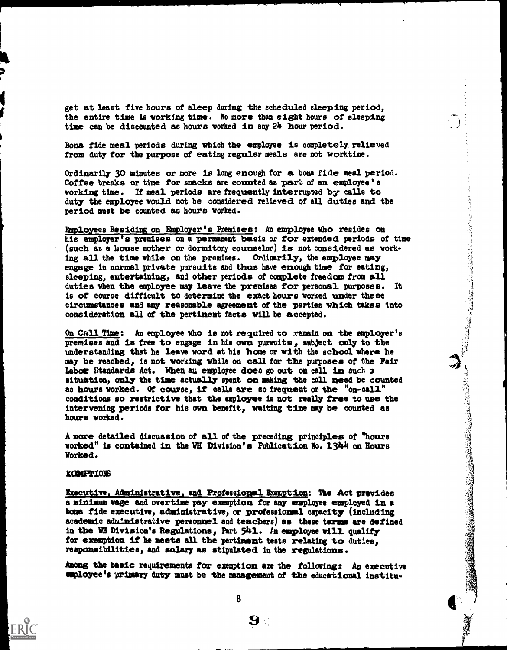get at least five hours of sleep during the scheduled sleeping period, the entire time is 'working time. No more than eight hours of sleeping time can be discounted as hours worked in any 24 hour period.

Bona fide meal periods during which the employee is completely relieved from duty for the purpose of eating regular meals are not worktime.

Ordinarily 30 minutes or more is long enough for a bons fide meal period.<br>Coffee breaks or time for snacks are counted as part of an employee's working time. If meal periods are frequently interrupted by calls to duty the employee would not be considered relieved of all duties and the period must be counted as hours worked.

period and the contribution is premised on the premises: An employee who resides on the final contribution on the premises: Orientation of the employee any the semi-particular contribution is all the semi-particular or fo (such as a house mother or dormitory counselor) is not considered as working all the time while on the premises. Ordinarily, the employee may engage in normal private pursuits and thus have enough time for eating, sleeping, entertaining, and other periods of complete freedom from all duties when the employee may leave the premises for personal purposes. It is of course difficult to determine the exact hours worked under these circumstances and any reasonable agreement of the parties which takes into consideration all of the pertinent facts vill be accepted.

On Call Time: An employee who is not required to remain on the employer's premises and is free to engage in his own pursuits, subject only to the understanding that he leave word at his home or with the school where he may labor Standards Act. When au employee does go out on call in such 3 situation, only the time actually spent on making the call need be counted aa hours worked. Of course, if calls ere so frequent or the "on-call" conditions so restrictive that the employee is not really free to use the intervening periods for his own benefit, waiting time may be counted as hours vorked.

A more detailed discussion of all of the preceding principles of "hours worked" is contained in the WE Division's Publication No. 1.344 on Hours Worked.

# zamPrIons

Executive, Administrative, and Professional Exemption: The Act prevides a minimum wage and overtime pay exemption for any employee employed in a bona fide executive, administrative, or professional capacity (including academic administrative personnel and teachers) as these terms are defined in the WE Division's Regulations, Part  $541.$  An employee will qualify for exemption if be meets all the pertinent tests relating to duties, responsibilities, and salary as stipulated in the regulations.

Among the basic requirements for exemption are the following: An executive employee's primary duty must be the management of the educational institu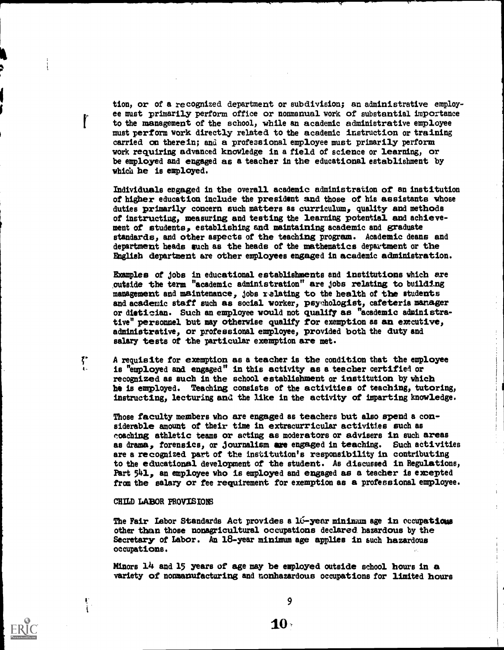tion, or of a recognized department or subdivision; an administrative employee must primarily perform office or nonmanual work of substantial importance to the management of the school, while an academic administrative employee must perform work directly related to the academic instruction or training carried on therein; and a professional employee must primarily perform work requiring advanced knowledge in a field of science or learning, or be employed and engaged as a teacher in the educational establishment by which he is employed.

Individuals engaged in the overall academic administration of an institution of higher education include the president and those of his assistants whose duties primarily concern such matters as curriculum, quality and methods of instructing, measuring and testing the learning potential and achievement of students, establishing and maintaining academic and graduate standards, and other aspects of the teaching program. Academic deans and department heads such as the heads of the mathematics department or the English department are other employees engaged in academic administration.

Examples of jobs in educational establishments and institutions which are outside the term "academic administration" are jobs relating to building management and maintenance, jobs relating to the health of the students and academic staff such as social worker, psychologist, cafeteria manager or dietician. Such an employee would not qualify as "academic administrative" personnel but may otherwise qualify for exemption as an executive, administrative, or professional employee, provided both the duty and salary tests of the particular exemption are met.

A requisite for exemption as a teacher is the condition that the employee is "employed and engaged" in this activity as a teacher certified or recognized as such in the school establishment or institution by which he is employed. Teaching consists of the activities of teaching, tutoring, instructing, lecturing and the like in the activity of imparting knowledge.

Those faculty members who are engaged as teachers but also spend a considerable amount of their time in extracurricular activities such as coaching athletic teams or acting as moderators or advisers in such areas as drama, forensics, or journalism are engaged in teaching. Such activities are a recognized part of the institution's responsibility in contributing to the educational development of the student. As discussed in Regulations, Part 541, an employee who is employed and engaged as a teacher is excepted frau the salary or fee requirement for exemption as a professional employee.

# CHILD LABOR PROVISIONS

 $\int_{1}^{\infty}$ 

 $\frac{1}{1}$ 

The Fair Labor Standards Act provides a 16-year minimum age in occupations other than those nonagricultural occupations declared, hazardous by the Secretary of Labor. An 18-year minimum age applies in such hazardous occupations.

Minors 14 and 15 years of age may be employed outside school hours in a variety of nonmanufacturing and nonhazardous occupations for limited hours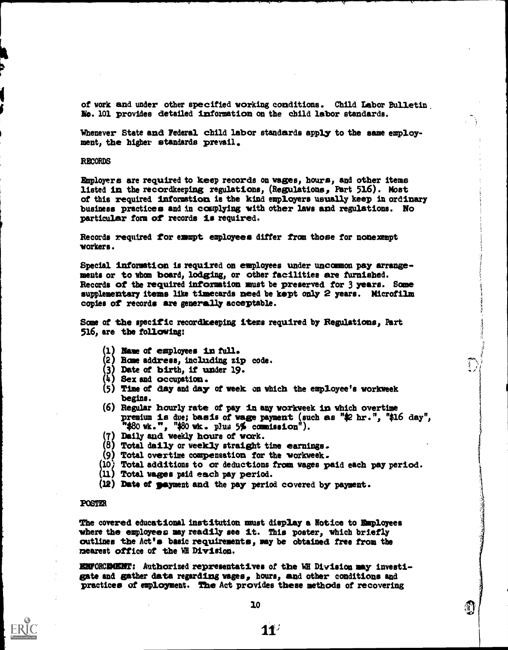of work and under other specified working conditions. Child labor Bulletin No. 101 provides detailed information on the child labor standards.

Whenever State and Federal child labor standards apply to the same employment, the higher standards prevail.

# RECORDS

Employers are required to keep records on wages, hours, and other items listed in the recordkeeping regulations, (Regulations, Part 516). Most of this required information is the kind employers usually keep in ordinary business practices and in complying vith other laws and regulations. No particular form of records is required.

Records required for emmpt employees differ from those for nonexempt vorkers.

Special information is required on employees under uncommon pay arrangements or to whom board, lodging, or other facilities are furnished. Records of the required information must be preserved for 3 years. Some supplementary items like timecards need be kept only 2 years. Microfilm copies of records are generally acceptable.

Some of the specific recordkeeping items required by Regulations, Part 516, are the following:

- 1) Name of employees in full.
- 2) Base address, including zip code.
- 3) Date of birth, if under 19.
- 4) Sex and occupation.
- 1 5) Time of day and day of week on which the employee's workweek begins.
- (6) Regular hourly rate of pay in any workweek in which overtime premium is due; basis of wage payment (such as "\$2 hr.", "\$16 day", " $$80$  wk.", " $$80$  wk. plus  $5\%$  commission").
- i7) Daily and weekly hours of work.
- $(8)$  Total daily or weekly straight time earnings.
- 9) Total overtime compensation for the vorkweek.
- 10) Total additions to or deductions from wages paid each pay period.
- 11) Total wages paid each pay period.
- (12) Date of payment and the pay period covered by payment.

### **POSTER**

The covered educational institution must display a Notice to Employees vhere the employees may readily see it. This poster, vhich briefly outlines the Act's basic requirements, may be obtained free from the nearest office of the WE Division.

ENFORCEMENT: Authorized representatives of the WE Division may investigate and gather data regarding wages, hours, and other conditions and practices of employment. The Act provides these methods of recovering

**April**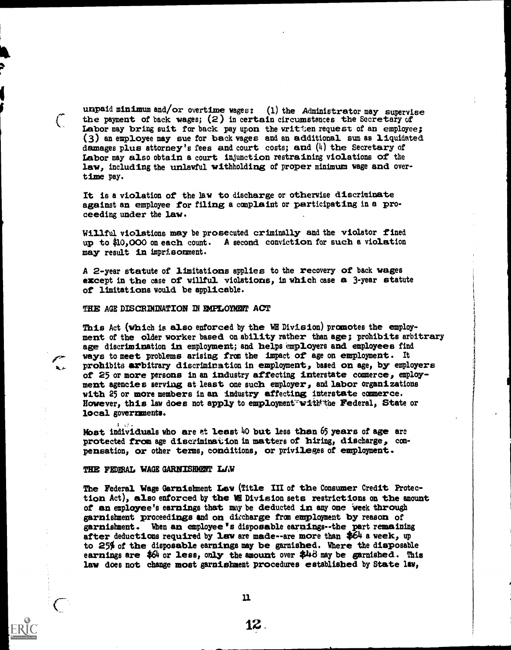unpaid minimum and/or overtime wages: (1) the Administrator may supervise<br>the payment of back wages; (2) in certain circumstances the Secretary of<br>Labor may bring suit for back pay upon the written request of an employee; law, including the unlawful withholding of proper minimum wage and overtime pay.

It is a violation of the law to discharge or otherwise discriminate against an employee for filing a complaint or participating in a pro-<br>ceeding under the law.

Willful violations may be prosecuted criminally and the violator fined up to 40,000 on each count. A second conviction for such a violation may result in imprisonment.

A 2-year statute of limitations applies to the recovery of back wages except in the case of willful violations, in which case a 3-year statute of limitations would be applicable.

# THE AGE DISCRIMINATION IN EMPLOYMENT ACT

ways to meet problems arising from the impact of age on employment. It<br> $\lambda_{\ell}$  prohibits arbitrary discrimination in employment, based on age, by employers This Act (which is also enforced by the WE Division) prcomotes the employ- ment of the older worker based on ability rather than age; prohibits arbitrary age discrimination in employment; and helps employers and employees find of 25 or more persons in an industry affecting interstate commerce, employ-<br>ment agencies serving at least one such employer, and labor organizations<br>with 25 or more members in an industry affecting interstate commerce.<br>Ho local governments.

Most individuals who are et least  $40$  but less than 65 years of age are protected from age discrimination in matters of hiring, discharge, com- pensation, or other terms, conditions, or privileges of employment.

THE FEDERAL WAGE GARNISHMENT LAW

The Federal Wage Garnishment Law (Title III of the Consumer Credit Protection Act), also enforced by the WE Division sets restrictions on the amount of an employee's earnings that may be deducted in any one week through garnishment proceedings and on diecharge fran employment by reason of garnishment. When an employee's disposable earnings--the part remaining after deductions required by law are made--are more than  $$64$  a week, up to  $25\%$  of the disposable earnings may be garnished. Where the disposable earnings are  $$64$  or less, only the amount over  $$44$  may be garnished. This law does not change most garnishment procedures established by State law,